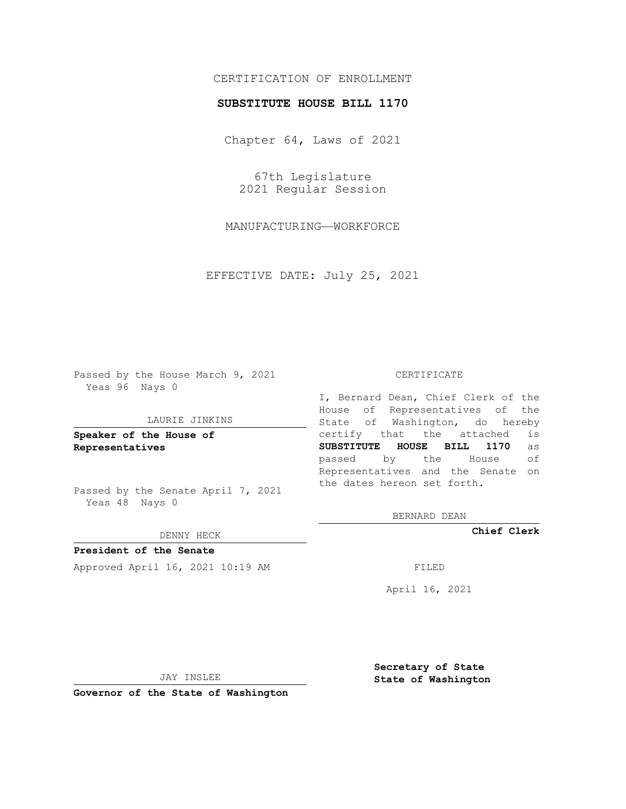# CERTIFICATION OF ENROLLMENT

## **SUBSTITUTE HOUSE BILL 1170**

Chapter 64, Laws of 2021

67th Legislature 2021 Regular Session

MANUFACTURING—WORKFORCE

EFFECTIVE DATE: July 25, 2021

Passed by the House March 9, 2021 Yeas 96 Nays 0

#### LAURIE JINKINS

**Speaker of the House of Representatives**

Passed by the Senate April 7, 2021 Yeas 48 Nays 0

#### DENNY HECK

**President of the Senate** Approved April 16, 2021 10:19 AM FILED

### CERTIFICATE

I, Bernard Dean, Chief Clerk of the House of Representatives of the State of Washington, do hereby certify that the attached is **SUBSTITUTE HOUSE BILL 1170** as passed by the House of Representatives and the Senate on the dates hereon set forth.

BERNARD DEAN

**Chief Clerk**

April 16, 2021

JAY INSLEE

**Governor of the State of Washington**

**Secretary of State State of Washington**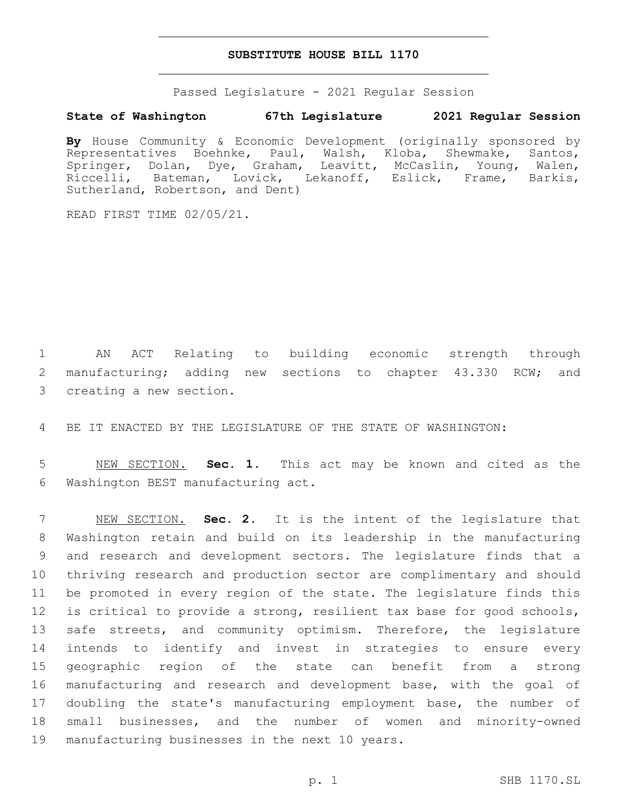### **SUBSTITUTE HOUSE BILL 1170**

Passed Legislature - 2021 Regular Session

## **State of Washington 67th Legislature 2021 Regular Session**

**By** House Community & Economic Development (originally sponsored by Representatives Boehnke, Paul, Walsh, Kloba, Shewmake, Santos, Springer, Dolan, Dye, Graham, Leavitt, McCaslin, Young, Walen, Riccelli, Bateman, Lovick, Lekanoff, Eslick, Frame, Barkis, Sutherland, Robertson, and Dent)

READ FIRST TIME 02/05/21.

1 AN ACT Relating to building economic strength through 2 manufacturing; adding new sections to chapter 43.330 RCW; and 3 creating a new section.

4 BE IT ENACTED BY THE LEGISLATURE OF THE STATE OF WASHINGTON:

5 NEW SECTION. **Sec. 1.** This act may be known and cited as the 6 Washington BEST manufacturing act.

 NEW SECTION. **Sec. 2.** It is the intent of the legislature that Washington retain and build on its leadership in the manufacturing and research and development sectors. The legislature finds that a thriving research and production sector are complimentary and should be promoted in every region of the state. The legislature finds this is critical to provide a strong, resilient tax base for good schools, 13 safe streets, and community optimism. Therefore, the legislature intends to identify and invest in strategies to ensure every geographic region of the state can benefit from a strong manufacturing and research and development base, with the goal of doubling the state's manufacturing employment base, the number of small businesses, and the number of women and minority-owned manufacturing businesses in the next 10 years.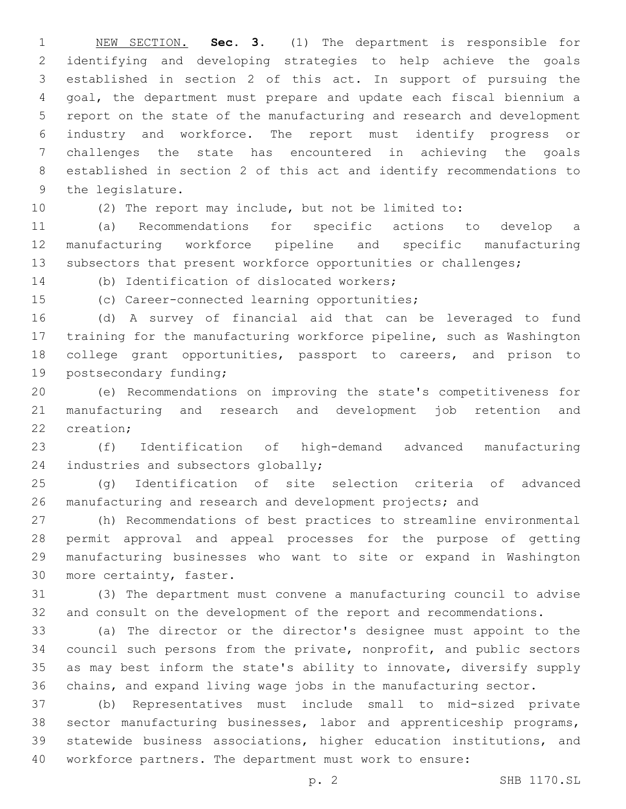NEW SECTION. **Sec. 3.** (1) The department is responsible for identifying and developing strategies to help achieve the goals established in section 2 of this act. In support of pursuing the goal, the department must prepare and update each fiscal biennium a report on the state of the manufacturing and research and development industry and workforce. The report must identify progress or challenges the state has encountered in achieving the goals established in section 2 of this act and identify recommendations to the legislature.

(2) The report may include, but not be limited to:

 (a) Recommendations for specific actions to develop a manufacturing workforce pipeline and specific manufacturing 13 subsectors that present workforce opportunities or challenges;

14 (b) Identification of dislocated workers;

15 (c) Career-connected learning opportunities;

 (d) A survey of financial aid that can be leveraged to fund training for the manufacturing workforce pipeline, such as Washington college grant opportunities, passport to careers, and prison to 19 postsecondary funding;

 (e) Recommendations on improving the state's competitiveness for manufacturing and research and development job retention and 22 creation:

 (f) Identification of high-demand advanced manufacturing 24 industries and subsectors globally;

 (g) Identification of site selection criteria of advanced 26 manufacturing and research and development projects; and

 (h) Recommendations of best practices to streamline environmental permit approval and appeal processes for the purpose of getting manufacturing businesses who want to site or expand in Washington 30 more certainty, faster.

 (3) The department must convene a manufacturing council to advise and consult on the development of the report and recommendations.

 (a) The director or the director's designee must appoint to the council such persons from the private, nonprofit, and public sectors as may best inform the state's ability to innovate, diversify supply chains, and expand living wage jobs in the manufacturing sector.

 (b) Representatives must include small to mid-sized private sector manufacturing businesses, labor and apprenticeship programs, statewide business associations, higher education institutions, and workforce partners. The department must work to ensure: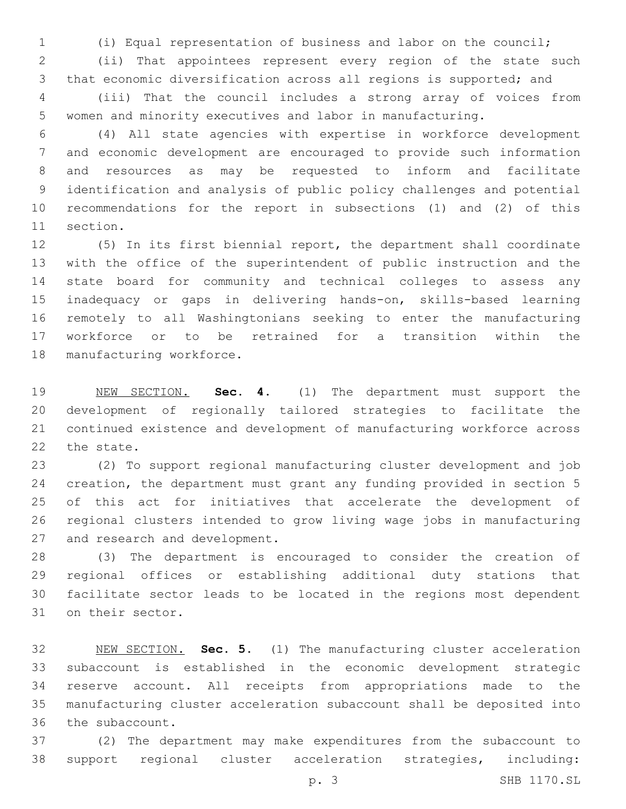(i) Equal representation of business and labor on the council;

 (ii) That appointees represent every region of the state such that economic diversification across all regions is supported; and

 (iii) That the council includes a strong array of voices from women and minority executives and labor in manufacturing.

 (4) All state agencies with expertise in workforce development and economic development are encouraged to provide such information and resources as may be requested to inform and facilitate identification and analysis of public policy challenges and potential recommendations for the report in subsections (1) and (2) of this 11 section.

 (5) In its first biennial report, the department shall coordinate with the office of the superintendent of public instruction and the state board for community and technical colleges to assess any inadequacy or gaps in delivering hands-on, skills-based learning remotely to all Washingtonians seeking to enter the manufacturing workforce or to be retrained for a transition within the 18 manufacturing workforce.

 NEW SECTION. **Sec. 4.** (1) The department must support the development of regionally tailored strategies to facilitate the continued existence and development of manufacturing workforce across the state.

 (2) To support regional manufacturing cluster development and job creation, the department must grant any funding provided in section 5 of this act for initiatives that accelerate the development of regional clusters intended to grow living wage jobs in manufacturing 27 and research and development.

 (3) The department is encouraged to consider the creation of regional offices or establishing additional duty stations that facilitate sector leads to be located in the regions most dependent 31 on their sector.

 NEW SECTION. **Sec. 5.** (1) The manufacturing cluster acceleration subaccount is established in the economic development strategic reserve account. All receipts from appropriations made to the manufacturing cluster acceleration subaccount shall be deposited into the subaccount.

 (2) The department may make expenditures from the subaccount to support regional cluster acceleration strategies, including:

p. 3 SHB 1170.SL